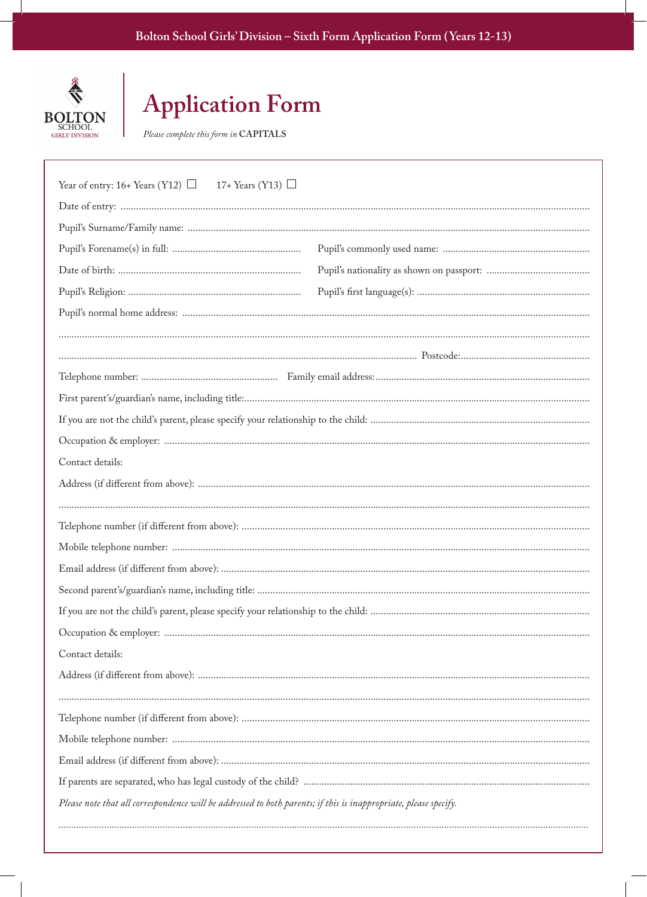

## **Application Form**

Please complete this form in CAPITALS

| Year of entry: 16+ Years (Y12) $\Box$<br>17+ Years (Y13) $\Box$                                                  |  |  |  |  |
|------------------------------------------------------------------------------------------------------------------|--|--|--|--|
|                                                                                                                  |  |  |  |  |
|                                                                                                                  |  |  |  |  |
|                                                                                                                  |  |  |  |  |
|                                                                                                                  |  |  |  |  |
|                                                                                                                  |  |  |  |  |
|                                                                                                                  |  |  |  |  |
|                                                                                                                  |  |  |  |  |
|                                                                                                                  |  |  |  |  |
|                                                                                                                  |  |  |  |  |
|                                                                                                                  |  |  |  |  |
|                                                                                                                  |  |  |  |  |
|                                                                                                                  |  |  |  |  |
| Contact details:                                                                                                 |  |  |  |  |
|                                                                                                                  |  |  |  |  |
|                                                                                                                  |  |  |  |  |
|                                                                                                                  |  |  |  |  |
|                                                                                                                  |  |  |  |  |
|                                                                                                                  |  |  |  |  |
|                                                                                                                  |  |  |  |  |
|                                                                                                                  |  |  |  |  |
|                                                                                                                  |  |  |  |  |
| Contact details:                                                                                                 |  |  |  |  |
|                                                                                                                  |  |  |  |  |
|                                                                                                                  |  |  |  |  |
|                                                                                                                  |  |  |  |  |
|                                                                                                                  |  |  |  |  |
|                                                                                                                  |  |  |  |  |
|                                                                                                                  |  |  |  |  |
| Please note that all correspondence will be addressed to both parents; if this is inappropriate, please specify. |  |  |  |  |
|                                                                                                                  |  |  |  |  |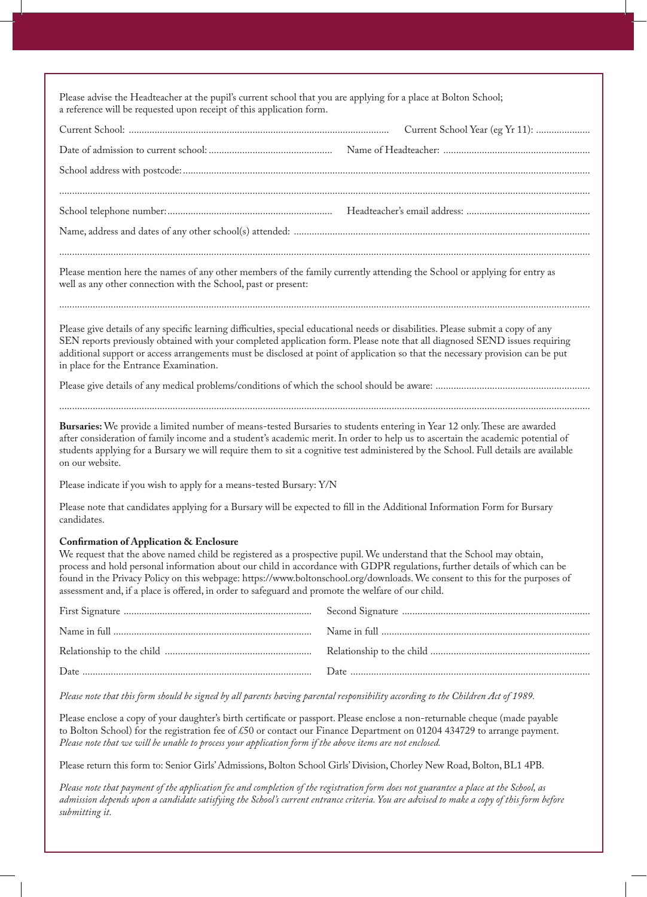Please advise the Headteacher at the pupil's current school that you are applying for a place at Bolton School; a reference will be requested upon receipt of this application form.

Please mention here the names of any other members of the family currently attending the School or applying for entry as well as any other connection with the School, past or present:

Please give details of any specific learning difficulties, special educational needs or disabilities. Please submit a copy of any SEN reports previously obtained with your completed application form. Please note that all diagnosed SEND issues requiring additional support or access arrangements must be disclosed at point of application so that the necessary provision can be put in place for the Entrance Examination.

..............................................................................................................................................................................................................

Please give details of any medical problems/conditions of which the school should be aware: ..

..............................................................................................................................................................................................................

**Bursaries:** We provide a limited number of means-tested Bursaries to students entering in Year 12 only. These are awarded after consideration of family income and a student's academic merit. In order to help us to ascertain the academic potential of students applying for a Bursary we will require them to sit a cognitive test administered by the School. Full details are available on our website.

Please indicate if you wish to apply for a means-tested Bursary: Y/N

Please note that candidates applying for a Bursary will be expected to fill in the Additional Information Form for Bursary candidates.

## **Confirmation of Application & Enclosure**

We request that the above named child be registered as a prospective pupil. We understand that the School may obtain, process and hold personal information about our child in accordance with GDPR regulations, further details of which can be found in the Privacy Policy on this webpage: https://www.boltonschool.org/downloads. We consent to this for the purposes of assessment and, if a place is offered, in order to safeguard and promote the welfare of our child.

*Please note that this form should be signed by all parents having parental responsibility according to the Children Act of 1989.* 

Please enclose a copy of your daughter's birth certificate or passport. Please enclose a non-returnable cheque (made payable to Bolton School) for the registration fee of £50 or contact our Finance Department on 01204 434729 to arrange payment. *Please note that we will be unable to process your application form if the above items are not enclosed.*

Please return this form to: Senior Girls' Admissions, Bolton School Girls' Division, Chorley New Road, Bolton, BL1 4PB.

*Please note that payment of the application fee and completion of the registration form does not guarantee a place at the School, as admission depends upon a candidate satisfying the School's current entrance criteria. You are advised to make a copy of this form before submitting it.*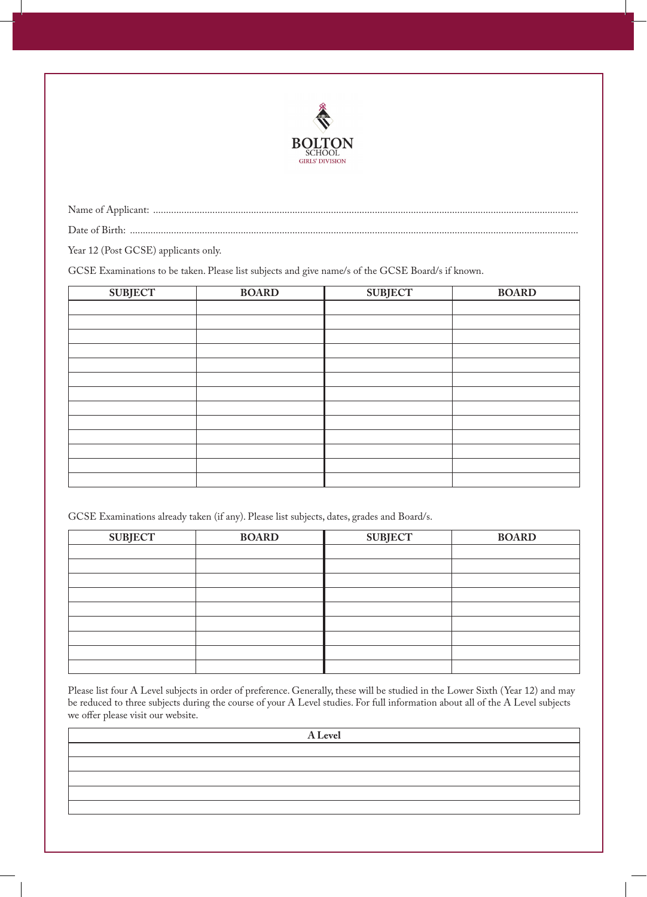

Name of Applicant: .....................................................................................................................................................................

Date of Birth: ..............................................................................................................................................................................

Year 12 (Post GCSE) applicants only.

GCSE Examinations to be taken. Please list subjects and give name/s of the GCSE Board/s if known.

| <b>SUBJECT</b> | <b>BOARD</b> | <b>SUBJECT</b> | <b>BOARD</b> |
|----------------|--------------|----------------|--------------|
|                |              |                |              |
|                |              |                |              |
|                |              |                |              |
|                |              |                |              |
|                |              |                |              |
|                |              |                |              |
|                |              |                |              |
|                |              |                |              |
|                |              |                |              |
|                |              |                |              |
|                |              |                |              |
|                |              |                |              |
|                |              |                |              |

GCSE Examinations already taken (if any). Please list subjects, dates, grades and Board/s.

| <b>SUBJECT</b> | <b>BOARD</b> | <b>SUBJECT</b> | <b>BOARD</b> |
|----------------|--------------|----------------|--------------|
|                |              |                |              |
|                |              |                |              |
|                |              |                |              |
|                |              |                |              |
|                |              |                |              |
|                |              |                |              |
|                |              |                |              |
|                |              |                |              |
|                |              |                |              |

Please list four A Level subjects in order of preference. Generally, these will be studied in the Lower Sixth (Year 12) and may be reduced to three subjects during the course of your A Level studies. For full information about all of the A Level subjects we offer please visit our website.

**A Level**